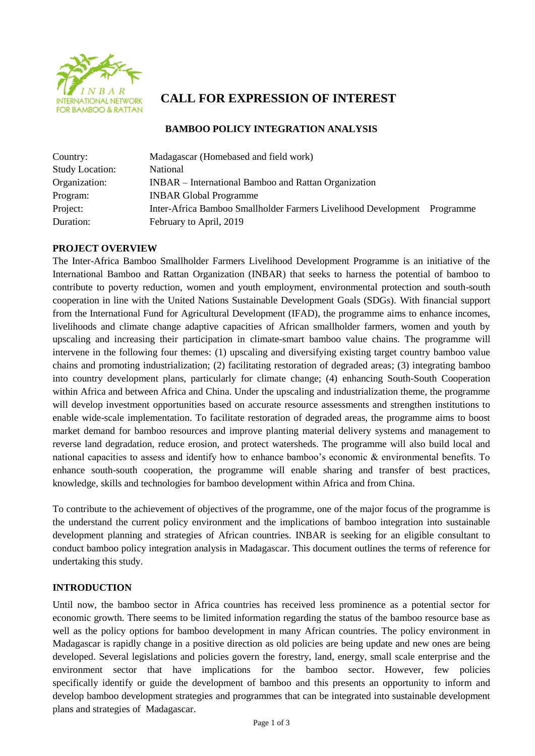

# **CALL FOR EXPRESSION OF INTEREST**

### **BAMBOO POLICY INTEGRATION ANALYSIS**

| Country:               | Madagascar (Homebased and field work)                          |           |
|------------------------|----------------------------------------------------------------|-----------|
| <b>Study Location:</b> | <b>National</b>                                                |           |
| Organization:          | INBAR – International Bamboo and Rattan Organization           |           |
| Program:               | <b>INBAR Global Programme</b>                                  |           |
| Project:               | Inter-Africa Bamboo Smallholder Farmers Livelihood Development | Programme |
| Duration:              | February to April, 2019                                        |           |

# **PROJECT OVERVIEW**

The Inter-Africa Bamboo Smallholder Farmers Livelihood Development Programme is an initiative of the International Bamboo and Rattan Organization (INBAR) that seeks to harness the potential of bamboo to contribute to poverty reduction, women and youth employment, environmental protection and south-south cooperation in line with the United Nations Sustainable Development Goals (SDGs). With financial support from the International Fund for Agricultural Development (IFAD), the programme aims to enhance incomes, livelihoods and climate change adaptive capacities of African smallholder farmers, women and youth by upscaling and increasing their participation in climate-smart bamboo value chains. The programme will intervene in the following four themes: (1) upscaling and diversifying existing target country bamboo value chains and promoting industrialization; (2) facilitating restoration of degraded areas; (3) integrating bamboo into country development plans, particularly for climate change; (4) enhancing South-South Cooperation within Africa and between Africa and China. Under the upscaling and industrialization theme, the programme will develop investment opportunities based on accurate resource assessments and strengthen institutions to enable wide-scale implementation. To facilitate restoration of degraded areas, the programme aims to boost market demand for bamboo resources and improve planting material delivery systems and management to reverse land degradation, reduce erosion, and protect watersheds. The programme will also build local and national capacities to assess and identify how to enhance bamboo's economic & environmental benefits. To enhance south-south cooperation, the programme will enable sharing and transfer of best practices, knowledge, skills and technologies for bamboo development within Africa and from China.

To contribute to the achievement of objectives of the programme, one of the major focus of the programme is the understand the current policy environment and the implications of bamboo integration into sustainable development planning and strategies of African countries. INBAR is seeking for an eligible consultant to conduct bamboo policy integration analysis in Madagascar. This document outlines the terms of reference for undertaking this study.

### **INTRODUCTION**

Until now, the bamboo sector in Africa countries has received less prominence as a potential sector for economic growth. There seems to be limited information regarding the status of the bamboo resource base as well as the policy options for bamboo development in many African countries. The policy environment in Madagascar is rapidly change in a positive direction as old policies are being update and new ones are being developed. Several legislations and policies govern the forestry, land, energy, small scale enterprise and the environment sector that have implications for the bamboo sector. However, few policies specifically identify or guide the development of bamboo and this presents an opportunity to inform and develop bamboo development strategies and programmes that can be integrated into sustainable development plans and strategies of Madagascar.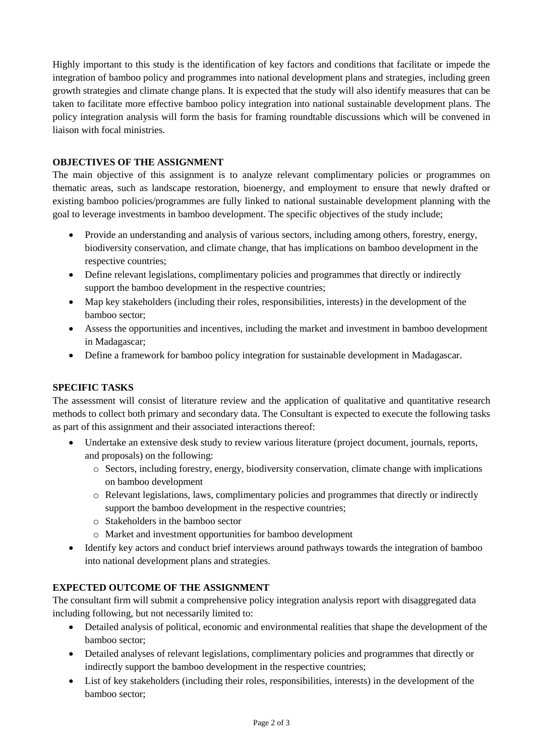Highly important to this study is the identification of key factors and conditions that facilitate or impede the integration of bamboo policy and programmes into national development plans and strategies, including green growth strategies and climate change plans. It is expected that the study will also identify measures that can be taken to facilitate more effective bamboo policy integration into national sustainable development plans. The policy integration analysis will form the basis for framing roundtable discussions which will be convened in liaison with focal ministries.

## **OBJECTIVES OF THE ASSIGNMENT**

The main objective of this assignment is to analyze relevant complimentary policies or programmes on thematic areas, such as landscape restoration, bioenergy, and employment to ensure that newly drafted or existing bamboo policies/programmes are fully linked to national sustainable development planning with the goal to leverage investments in bamboo development. The specific objectives of the study include;

- Provide an understanding and analysis of various sectors, including among others, forestry, energy, biodiversity conservation, and climate change, that has implications on bamboo development in the respective countries;
- Define relevant legislations, complimentary policies and programmes that directly or indirectly support the bamboo development in the respective countries;
- Map key stakeholders (including their roles, responsibilities, interests) in the development of the bamboo sector;
- Assess the opportunities and incentives, including the market and investment in bamboo development in Madagascar;
- Define a framework for bamboo policy integration for sustainable development in Madagascar.

# **SPECIFIC TASKS**

The assessment will consist of literature review and the application of qualitative and quantitative research methods to collect both primary and secondary data. The Consultant is expected to execute the following tasks as part of this assignment and their associated interactions thereof:

- Undertake an extensive desk study to review various literature (project document, journals, reports, and proposals) on the following:
	- o Sectors, including forestry, energy, biodiversity conservation, climate change with implications on bamboo development
	- o Relevant legislations, laws, complimentary policies and programmes that directly or indirectly support the bamboo development in the respective countries;
	- o Stakeholders in the bamboo sector
	- o Market and investment opportunities for bamboo development
- Identify key actors and conduct brief interviews around pathways towards the integration of bamboo into national development plans and strategies.

### **EXPECTED OUTCOME OF THE ASSIGNMENT**

The consultant firm will submit a comprehensive policy integration analysis report with disaggregated data including following, but not necessarily limited to:

- Detailed analysis of political, economic and environmental realities that shape the development of the bamboo sector;
- Detailed analyses of relevant legislations, complimentary policies and programmes that directly or indirectly support the bamboo development in the respective countries;
- List of key stakeholders (including their roles, responsibilities, interests) in the development of the bamboo sector;